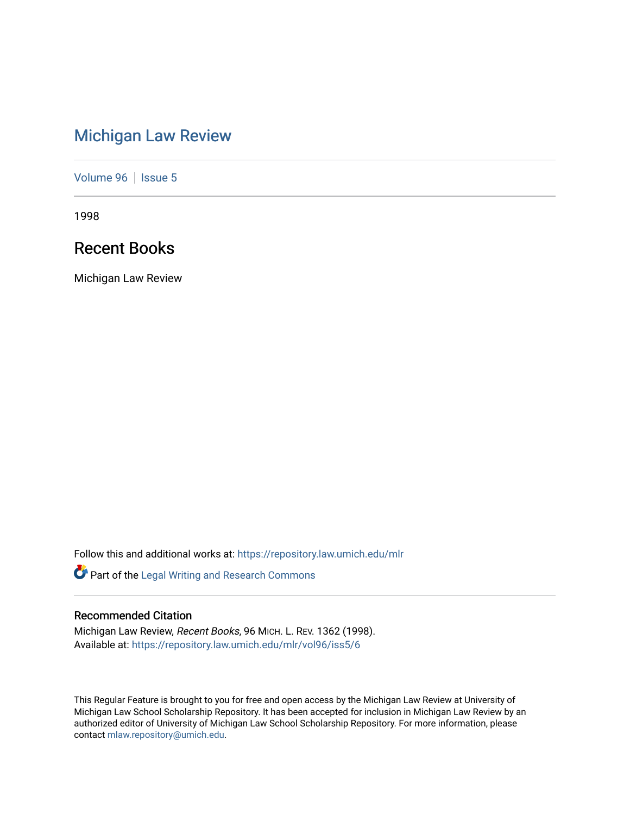# [Michigan Law Review](https://repository.law.umich.edu/mlr)

[Volume 96](https://repository.law.umich.edu/mlr/vol96) | [Issue 5](https://repository.law.umich.edu/mlr/vol96/iss5)

1998

## Recent Books

Michigan Law Review

Follow this and additional works at: [https://repository.law.umich.edu/mlr](https://repository.law.umich.edu/mlr?utm_source=repository.law.umich.edu%2Fmlr%2Fvol96%2Fiss5%2F6&utm_medium=PDF&utm_campaign=PDFCoverPages) 

Part of the [Legal Writing and Research Commons](http://network.bepress.com/hgg/discipline/614?utm_source=repository.law.umich.edu%2Fmlr%2Fvol96%2Fiss5%2F6&utm_medium=PDF&utm_campaign=PDFCoverPages) 

## Recommended Citation

Michigan Law Review, Recent Books, 96 MICH. L. REV. 1362 (1998). Available at: [https://repository.law.umich.edu/mlr/vol96/iss5/6](https://repository.law.umich.edu/mlr/vol96/iss5/6?utm_source=repository.law.umich.edu%2Fmlr%2Fvol96%2Fiss5%2F6&utm_medium=PDF&utm_campaign=PDFCoverPages)

This Regular Feature is brought to you for free and open access by the Michigan Law Review at University of Michigan Law School Scholarship Repository. It has been accepted for inclusion in Michigan Law Review by an authorized editor of University of Michigan Law School Scholarship Repository. For more information, please contact [mlaw.repository@umich.edu](mailto:mlaw.repository@umich.edu).